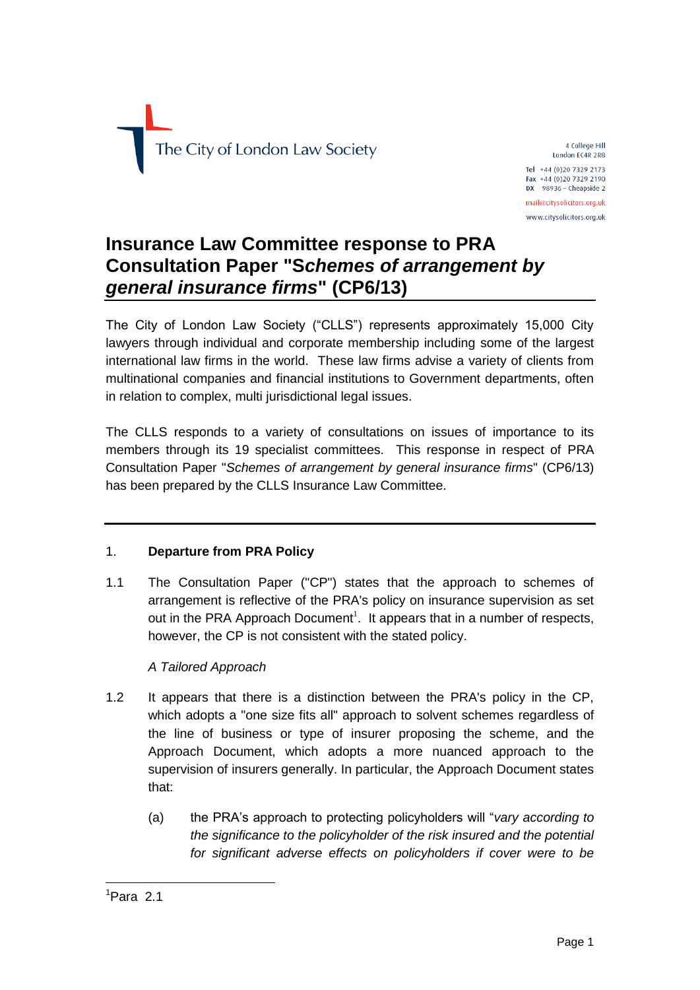

4 College Hill London EC4R 2RB Tel +44 (0)20 7329 2173 Fax +44 (0)20 7329 2190  $DX$  98936 - Cheapside 2 mail@citysolicitors.org.uk www.citysolicitors.org.uk

# **Insurance Law Committee response to PRA Consultation Paper "S***chemes of arrangement by general insurance firms***" (CP6/13)**

The City of London Law Society ("CLLS") represents approximately 15,000 City lawyers through individual and corporate membership including some of the largest international law firms in the world. These law firms advise a variety of clients from multinational companies and financial institutions to Government departments, often in relation to complex, multi jurisdictional legal issues.

The CLLS responds to a variety of consultations on issues of importance to its members through its 19 specialist committees. This response in respect of PRA Consultation Paper "*Schemes of arrangement by general insurance firms*" (CP6/13) has been prepared by the CLLS Insurance Law Committee.

## 1. **Departure from PRA Policy**

1.1 The Consultation Paper ("CP") states that the approach to schemes of arrangement is reflective of the PRA's policy on insurance supervision as set out in the PRA Approach Document<sup>1</sup>. It appears that in a number of respects, however, the CP is not consistent with the stated policy.

## *A Tailored Approach*

- 1.2 It appears that there is a distinction between the PRA's policy in the CP, which adopts a "one size fits all" approach to solvent schemes regardless of the line of business or type of insurer proposing the scheme, and the Approach Document, which adopts a more nuanced approach to the supervision of insurers generally. In particular, the Approach Document states that:
	- (a) the PRA's approach to protecting policyholders will "*vary according to the significance to the policyholder of the risk insured and the potential for significant adverse effects on policyholders if cover were to be*

1

 $1$ Para 2.1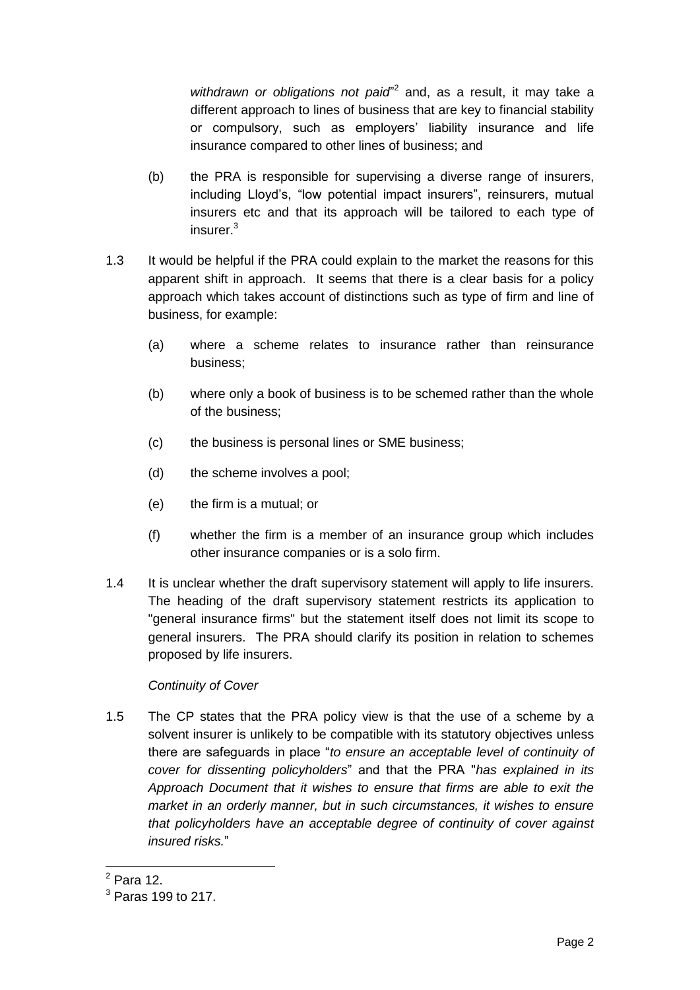withdrawn or obligations not paid<sup>r2</sup> and, as a result, it may take a different approach to lines of business that are key to financial stability or compulsory, such as employers' liability insurance and life insurance compared to other lines of business; and

- (b) the PRA is responsible for supervising a diverse range of insurers, including Lloyd's, "low potential impact insurers", reinsurers, mutual insurers etc and that its approach will be tailored to each type of insurer.<sup>3</sup>
- 1.3 It would be helpful if the PRA could explain to the market the reasons for this apparent shift in approach. It seems that there is a clear basis for a policy approach which takes account of distinctions such as type of firm and line of business, for example:
	- (a) where a scheme relates to insurance rather than reinsurance business;
	- (b) where only a book of business is to be schemed rather than the whole of the business;
	- (c) the business is personal lines or SME business;
	- (d) the scheme involves a pool;
	- (e) the firm is a mutual; or
	- (f) whether the firm is a member of an insurance group which includes other insurance companies or is a solo firm.
- 1.4 It is unclear whether the draft supervisory statement will apply to life insurers. The heading of the draft supervisory statement restricts its application to "general insurance firms" but the statement itself does not limit its scope to general insurers. The PRA should clarify its position in relation to schemes proposed by life insurers.

## *Continuity of Cover*

1.5 The CP states that the PRA policy view is that the use of a scheme by a solvent insurer is unlikely to be compatible with its statutory objectives unless there are safeguards in place "*to ensure an acceptable level of continuity of cover for dissenting policyholders*" and that the PRA "*has explained in its Approach Document that it wishes to ensure that firms are able to exit the market in an orderly manner, but in such circumstances, it wishes to ensure that policyholders have an acceptable degree of continuity of cover against insured risks.*"

<sup>1</sup>  $<sup>2</sup>$  Para 12.</sup>

<sup>3</sup> Paras 199 to 217.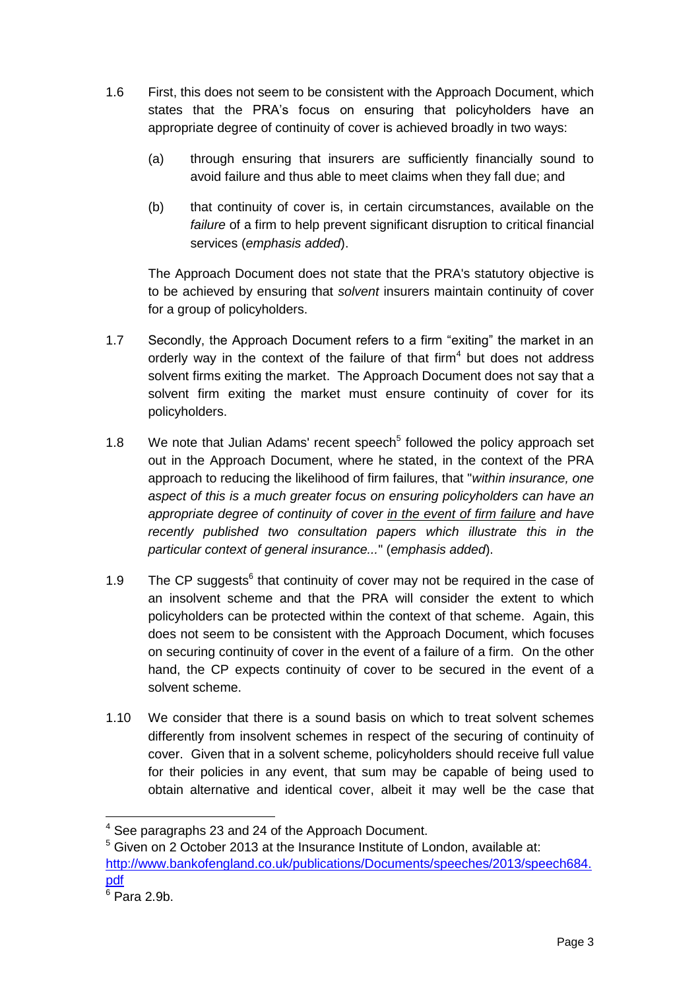- 1.6 First, this does not seem to be consistent with the Approach Document, which states that the PRA's focus on ensuring that policyholders have an appropriate degree of continuity of cover is achieved broadly in two ways:
	- (a) through ensuring that insurers are sufficiently financially sound to avoid failure and thus able to meet claims when they fall due; and
	- (b) that continuity of cover is, in certain circumstances, available on the *failure* of a firm to help prevent significant disruption to critical financial services (*emphasis added*).

The Approach Document does not state that the PRA's statutory objective is to be achieved by ensuring that *solvent* insurers maintain continuity of cover for a group of policyholders.

- 1.7 Secondly, the Approach Document refers to a firm "exiting" the market in an orderly way in the context of the failure of that firm<sup>4</sup> but does not address solvent firms exiting the market. The Approach Document does not say that a solvent firm exiting the market must ensure continuity of cover for its policyholders.
- 1.8 We note that Julian Adams' recent speech<sup>5</sup> followed the policy approach set out in the Approach Document, where he stated, in the context of the PRA approach to reducing the likelihood of firm failures, that "*within insurance, one aspect of this is a much greater focus on ensuring policyholders can have an appropriate degree of continuity of cover in the event of firm failur*e *and have recently published two consultation papers which illustrate this in the particular context of general insurance...*" (*emphasis added*).
- 1.9 The CP suggests $<sup>6</sup>$  that continuity of cover may not be required in the case of</sup> an insolvent scheme and that the PRA will consider the extent to which policyholders can be protected within the context of that scheme. Again, this does not seem to be consistent with the Approach Document, which focuses on securing continuity of cover in the event of a failure of a firm. On the other hand, the CP expects continuity of cover to be secured in the event of a solvent scheme.
- 1.10 We consider that there is a sound basis on which to treat solvent schemes differently from insolvent schemes in respect of the securing of continuity of cover. Given that in a solvent scheme, policyholders should receive full value for their policies in any event, that sum may be capable of being used to obtain alternative and identical cover, albeit it may well be the case that

1

<sup>4</sup> See paragraphs 23 and 24 of the Approach Document.

 $5$  Given on 2 October 2013 at the Insurance Institute of London, available at: [http://www.bankofengland.co.uk/publications/Documents/speeches/2013/speech684.](http://www.bankofengland.co.uk/publications/Documents/speeches/2013/speech684.pdf) [pdf](http://www.bankofengland.co.uk/publications/Documents/speeches/2013/speech684.pdf)

 $6$  Para 2.9b.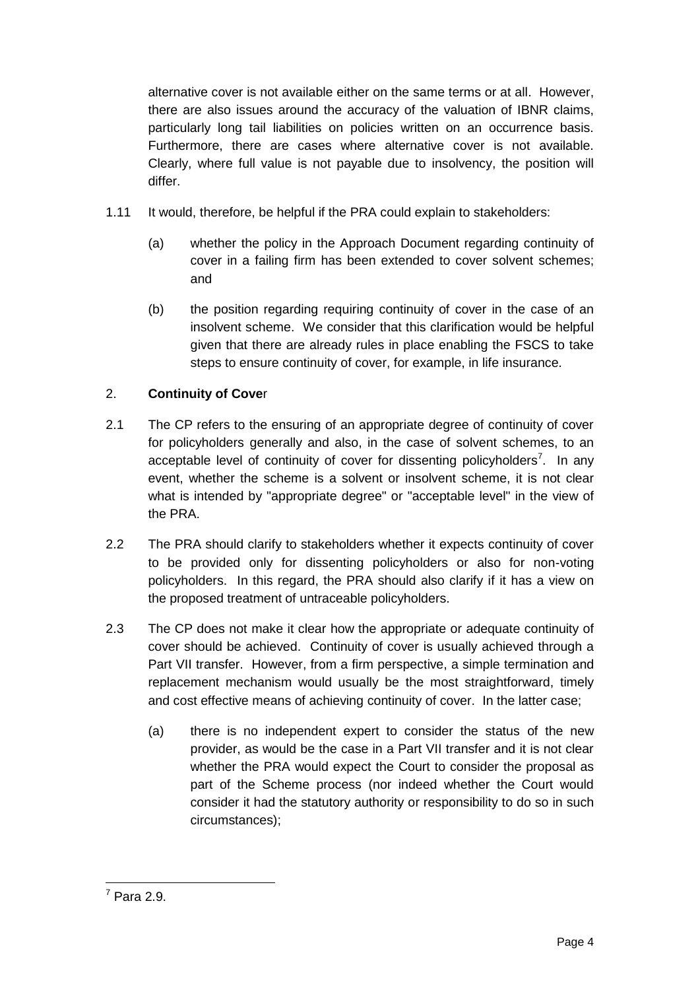alternative cover is not available either on the same terms or at all. However, there are also issues around the accuracy of the valuation of IBNR claims, particularly long tail liabilities on policies written on an occurrence basis. Furthermore, there are cases where alternative cover is not available. Clearly, where full value is not payable due to insolvency, the position will differ.

- 1.11 It would, therefore, be helpful if the PRA could explain to stakeholders:
	- (a) whether the policy in the Approach Document regarding continuity of cover in a failing firm has been extended to cover solvent schemes; and
	- (b) the position regarding requiring continuity of cover in the case of an insolvent scheme. We consider that this clarification would be helpful given that there are already rules in place enabling the FSCS to take steps to ensure continuity of cover, for example, in life insurance.

## 2. **Continuity of Cove**r

- 2.1 The CP refers to the ensuring of an appropriate degree of continuity of cover for policyholders generally and also, in the case of solvent schemes, to an acceptable level of continuity of cover for dissenting policyholders<sup>7</sup>. In any event, whether the scheme is a solvent or insolvent scheme, it is not clear what is intended by "appropriate degree" or "acceptable level" in the view of the PRA.
- 2.2 The PRA should clarify to stakeholders whether it expects continuity of cover to be provided only for dissenting policyholders or also for non-voting policyholders. In this regard, the PRA should also clarify if it has a view on the proposed treatment of untraceable policyholders.
- 2.3 The CP does not make it clear how the appropriate or adequate continuity of cover should be achieved. Continuity of cover is usually achieved through a Part VII transfer. However, from a firm perspective, a simple termination and replacement mechanism would usually be the most straightforward, timely and cost effective means of achieving continuity of cover. In the latter case;
	- (a) there is no independent expert to consider the status of the new provider, as would be the case in a Part VII transfer and it is not clear whether the PRA would expect the Court to consider the proposal as part of the Scheme process (nor indeed whether the Court would consider it had the statutory authority or responsibility to do so in such circumstances);

<sup>1</sup>  $7$  Para 2.9.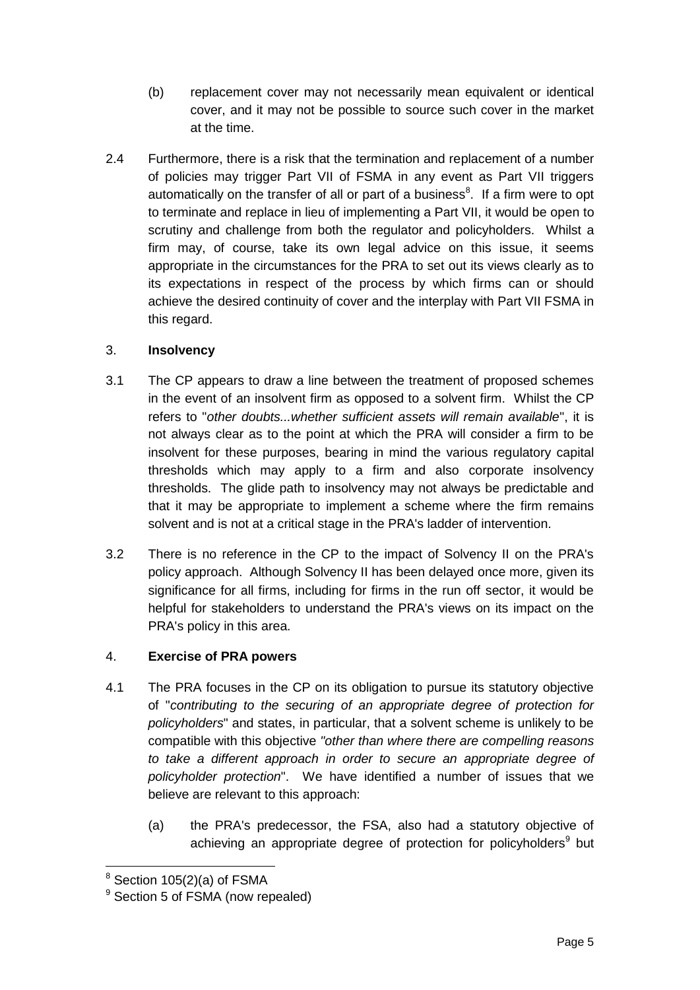- (b) replacement cover may not necessarily mean equivalent or identical cover, and it may not be possible to source such cover in the market at the time.
- 2.4 Furthermore, there is a risk that the termination and replacement of a number of policies may trigger Part VII of FSMA in any event as Part VII triggers automatically on the transfer of all or part of a business $8$ . If a firm were to opt to terminate and replace in lieu of implementing a Part VII, it would be open to scrutiny and challenge from both the regulator and policyholders. Whilst a firm may, of course, take its own legal advice on this issue, it seems appropriate in the circumstances for the PRA to set out its views clearly as to its expectations in respect of the process by which firms can or should achieve the desired continuity of cover and the interplay with Part VII FSMA in this regard.

## 3. **Insolvency**

- 3.1 The CP appears to draw a line between the treatment of proposed schemes in the event of an insolvent firm as opposed to a solvent firm. Whilst the CP refers to "*other doubts...whether sufficient assets will remain available*", it is not always clear as to the point at which the PRA will consider a firm to be insolvent for these purposes, bearing in mind the various regulatory capital thresholds which may apply to a firm and also corporate insolvency thresholds. The glide path to insolvency may not always be predictable and that it may be appropriate to implement a scheme where the firm remains solvent and is not at a critical stage in the PRA's ladder of intervention.
- 3.2 There is no reference in the CP to the impact of Solvency II on the PRA's policy approach. Although Solvency II has been delayed once more, given its significance for all firms, including for firms in the run off sector, it would be helpful for stakeholders to understand the PRA's views on its impact on the PRA's policy in this area.

## 4. **Exercise of PRA powers**

- 4.1 The PRA focuses in the CP on its obligation to pursue its statutory objective of "*contributing to the securing of an appropriate degree of protection for policyholders*" and states, in particular, that a solvent scheme is unlikely to be compatible with this objective *"other than where there are compelling reasons to take a different approach in order to secure an appropriate degree of policyholder protection*". We have identified a number of issues that we believe are relevant to this approach:
	- (a) the PRA's predecessor, the FSA, also had a statutory objective of achieving an appropriate degree of protection for policyholders<sup>9</sup> but

1

<sup>8</sup> Section 105(2)(a) of FSMA

<sup>&</sup>lt;sup>9</sup> Section 5 of FSMA (now repealed)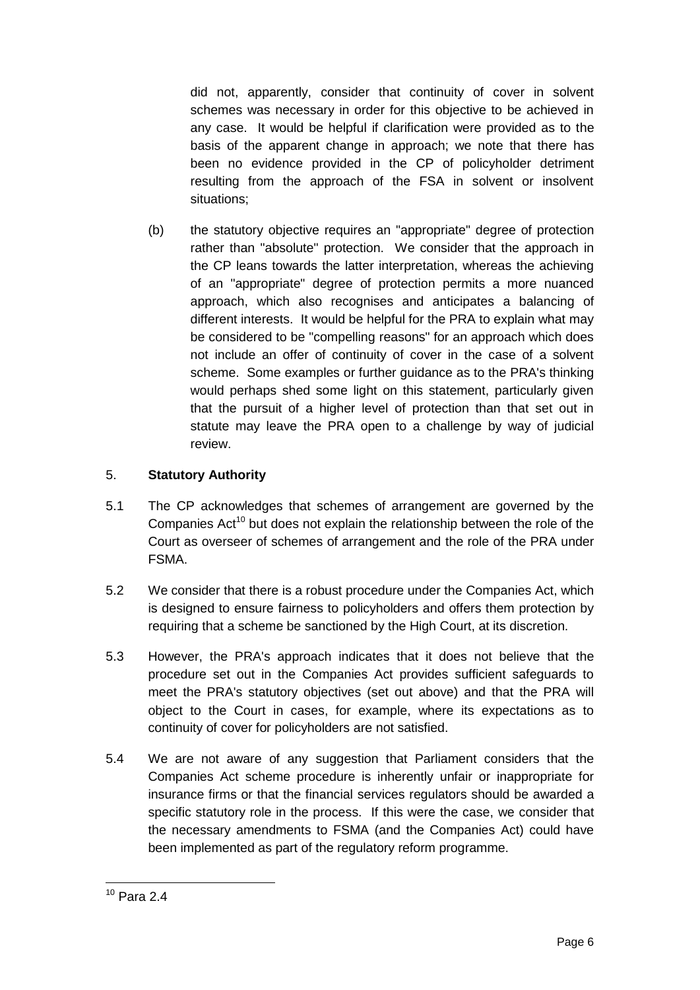did not, apparently, consider that continuity of cover in solvent schemes was necessary in order for this objective to be achieved in any case. It would be helpful if clarification were provided as to the basis of the apparent change in approach; we note that there has been no evidence provided in the CP of policyholder detriment resulting from the approach of the FSA in solvent or insolvent situations;

(b) the statutory objective requires an "appropriate" degree of protection rather than "absolute" protection. We consider that the approach in the CP leans towards the latter interpretation, whereas the achieving of an "appropriate" degree of protection permits a more nuanced approach, which also recognises and anticipates a balancing of different interests. It would be helpful for the PRA to explain what may be considered to be "compelling reasons" for an approach which does not include an offer of continuity of cover in the case of a solvent scheme. Some examples or further guidance as to the PRA's thinking would perhaps shed some light on this statement, particularly given that the pursuit of a higher level of protection than that set out in statute may leave the PRA open to a challenge by way of judicial review.

## 5. **Statutory Authority**

- 5.1 The CP acknowledges that schemes of arrangement are governed by the Companies Act<sup>10</sup> but does not explain the relationship between the role of the Court as overseer of schemes of arrangement and the role of the PRA under FSMA.
- 5.2 We consider that there is a robust procedure under the Companies Act, which is designed to ensure fairness to policyholders and offers them protection by requiring that a scheme be sanctioned by the High Court, at its discretion.
- 5.3 However, the PRA's approach indicates that it does not believe that the procedure set out in the Companies Act provides sufficient safeguards to meet the PRA's statutory objectives (set out above) and that the PRA will object to the Court in cases, for example, where its expectations as to continuity of cover for policyholders are not satisfied.
- 5.4 We are not aware of any suggestion that Parliament considers that the Companies Act scheme procedure is inherently unfair or inappropriate for insurance firms or that the financial services regulators should be awarded a specific statutory role in the process. If this were the case, we consider that the necessary amendments to FSMA (and the Companies Act) could have been implemented as part of the regulatory reform programme.

<sup>1</sup>  $10$  Para 2.4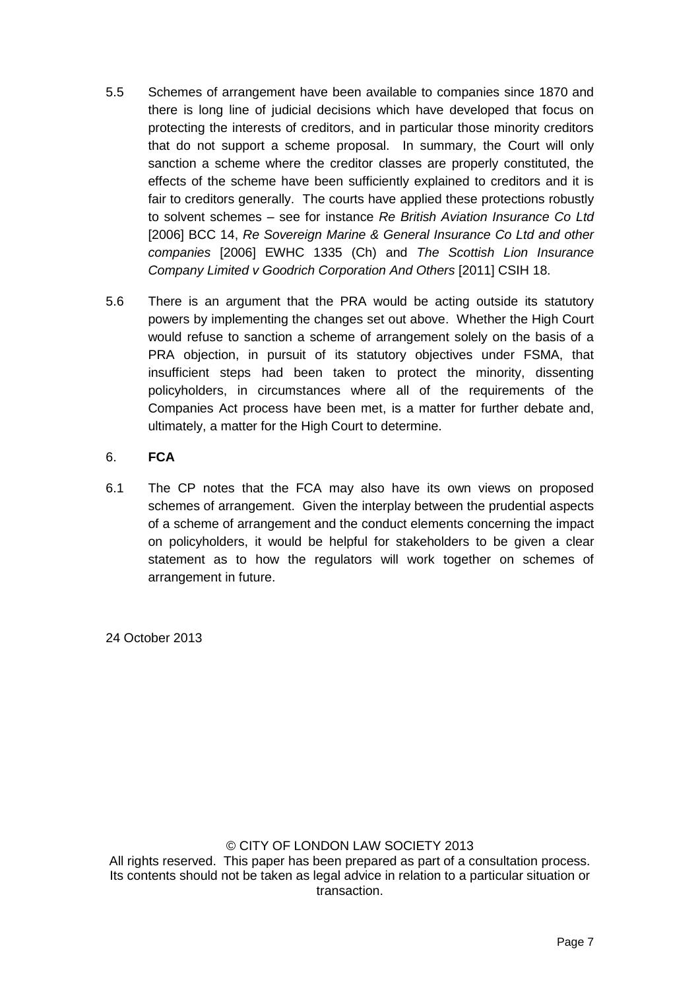- 5.5 Schemes of arrangement have been available to companies since 1870 and there is long line of judicial decisions which have developed that focus on protecting the interests of creditors, and in particular those minority creditors that do not support a scheme proposal. In summary, the Court will only sanction a scheme where the creditor classes are properly constituted, the effects of the scheme have been sufficiently explained to creditors and it is fair to creditors generally. The courts have applied these protections robustly to solvent schemes – see for instance *Re British Aviation Insurance Co Ltd* [2006] BCC 14, *Re Sovereign Marine & General Insurance Co Ltd and other companies* [2006] EWHC 1335 (Ch) and *The Scottish Lion Insurance Company Limited v Goodrich Corporation And Others* [2011] CSIH 18.
- 5.6 There is an argument that the PRA would be acting outside its statutory powers by implementing the changes set out above. Whether the High Court would refuse to sanction a scheme of arrangement solely on the basis of a PRA objection, in pursuit of its statutory objectives under FSMA, that insufficient steps had been taken to protect the minority, dissenting policyholders, in circumstances where all of the requirements of the Companies Act process have been met, is a matter for further debate and, ultimately, a matter for the High Court to determine.

#### 6. **FCA**

6.1 The CP notes that the FCA may also have its own views on proposed schemes of arrangement. Given the interplay between the prudential aspects of a scheme of arrangement and the conduct elements concerning the impact on policyholders, it would be helpful for stakeholders to be given a clear statement as to how the regulators will work together on schemes of arrangement in future.

24 October 2013

#### © CITY OF LONDON LAW SOCIETY 2013

All rights reserved. This paper has been prepared as part of a consultation process. Its contents should not be taken as legal advice in relation to a particular situation or transaction.